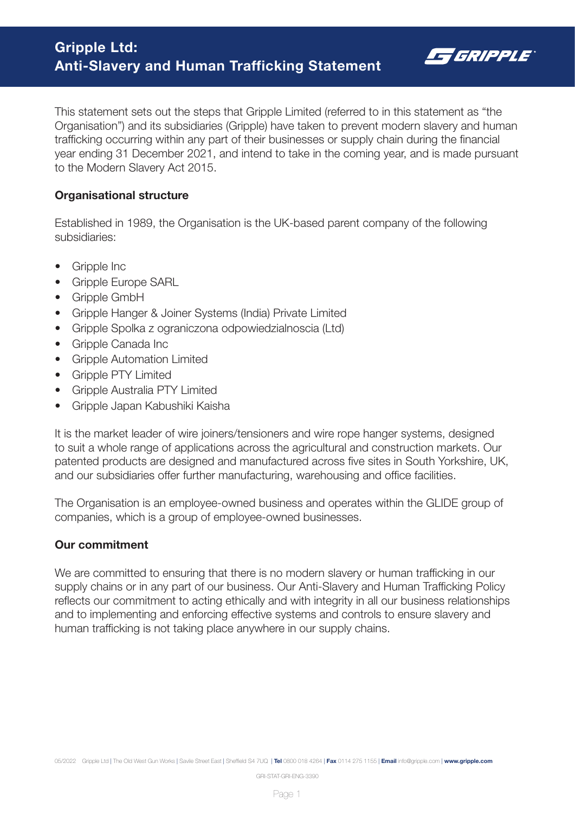

This statement sets out the steps that Gripple Limited (referred to in this statement as "the Organisation") and its subsidiaries (Gripple) have taken to prevent modern slavery and human trafficking occurring within any part of their businesses or supply chain during the financial year ending 31 December 2021, and intend to take in the coming year, and is made pursuant to the Modern Slavery Act 2015.

### Organisational structure

Established in 1989, the Organisation is the UK-based parent company of the following subsidiaries:

- Gripple Inc
- Gripple Europe SARL
- Gripple GmbH
- Gripple Hanger & Joiner Systems (India) Private Limited
- Gripple Spolka z ograniczona odpowiedzialnoscia (Ltd)
- Gripple Canada Inc
- Gripple Automation Limited
- Gripple PTY Limited
- Gripple Australia PTY Limited
- Gripple Japan Kabushiki Kaisha

It is the market leader of wire joiners/tensioners and wire rope hanger systems, designed to suit a whole range of applications across the agricultural and construction markets. Our patented products are designed and manufactured across five sites in South Yorkshire, UK, and our subsidiaries offer further manufacturing, warehousing and office facilities.

The Organisation is an employee-owned business and operates within the GLIDE group of companies, which is a group of employee-owned businesses.

# Our commitment

We are committed to ensuring that there is no modern slavery or human trafficking in our supply chains or in any part of our business. Our Anti-Slavery and Human Trafficking Policy reflects our commitment to acting ethically and with integrity in all our business relationships and to implementing and enforcing effective systems and controls to ensure slavery and human trafficking is not taking place anywhere in our supply chains.

GRI-STAT-GRI-ENG-3390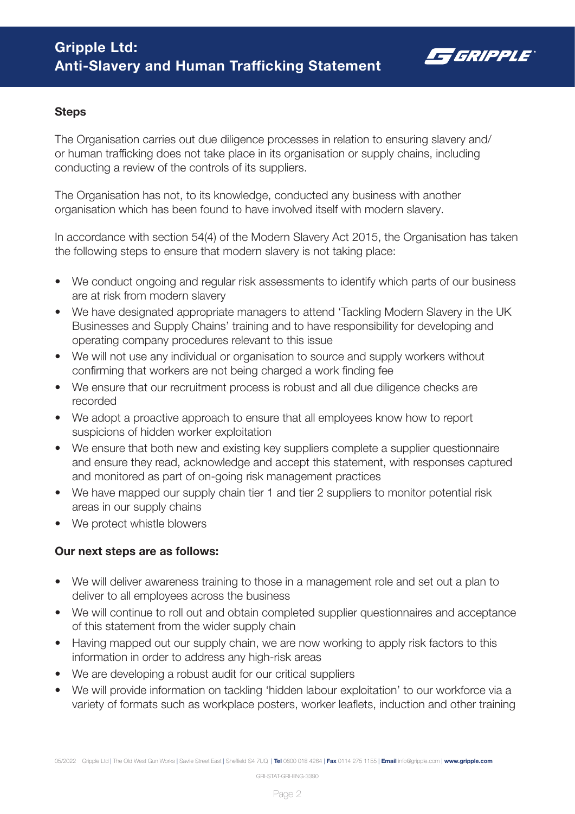

### **Steps**

The Organisation carries out due diligence processes in relation to ensuring slavery and/ or human trafficking does not take place in its organisation or supply chains, including conducting a review of the controls of its suppliers.

The Organisation has not, to its knowledge, conducted any business with another organisation which has been found to have involved itself with modern slavery.

In accordance with section 54(4) of the Modern Slavery Act 2015, the Organisation has taken the following steps to ensure that modern slavery is not taking place:

- We conduct ongoing and regular risk assessments to identify which parts of our business are at risk from modern slavery
- We have designated appropriate managers to attend 'Tackling Modern Slavery in the UK Businesses and Supply Chains' training and to have responsibility for developing and operating company procedures relevant to this issue
- We will not use any individual or organisation to source and supply workers without confirming that workers are not being charged a work finding fee
- We ensure that our recruitment process is robust and all due diligence checks are recorded
- We adopt a proactive approach to ensure that all employees know how to report suspicions of hidden worker exploitation
- We ensure that both new and existing key suppliers complete a supplier questionnaire and ensure they read, acknowledge and accept this statement, with responses captured and monitored as part of on-going risk management practices
- We have mapped our supply chain tier 1 and tier 2 suppliers to monitor potential risk areas in our supply chains
- We protect whistle blowers

# Our next steps are as follows:

- We will deliver awareness training to those in a management role and set out a plan to deliver to all employees across the business
- We will continue to roll out and obtain completed supplier questionnaires and acceptance of this statement from the wider supply chain
- Having mapped out our supply chain, we are now working to apply risk factors to this information in order to address any high-risk areas
- We are developing a robust audit for our critical suppliers
- We will provide information on tackling 'hidden labour exploitation' to our workforce via a variety of formats such as workplace posters, worker leaflets, induction and other training